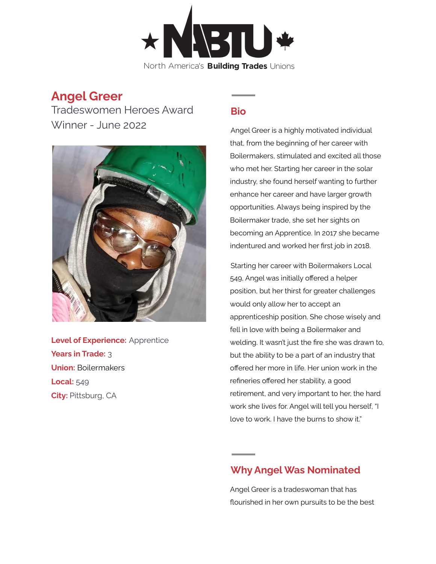

## **Angel Greer**

Tradeswomen Heroes Award Winner - June 2022



**Level of Experience:** Apprentice **Years in Trade:** 3 **Union:** Boilermakers **Local:** 549 **City:** Pittsburg, CA

## **Bio**

Angel Greer is a highly motivated individual that, from the beginning of her career with Boilermakers, stimulated and excited all those who met her. Starting her career in the solar industry, she found herself wanting to further enhance her career and have larger growth opportunities. Always being inspired by the Boilermaker trade, she set her sights on becoming an Apprentice. In 2017 she became indentured and worked her first job in 2018.

Starting her career with Boilermakers Local 549, Angel was initially offered a helper position, but her thirst for greater challenges would only allow her to accept an apprenticeship position. She chose wisely and fell in love with being a Boilermaker and welding. It wasn't just the fire she was drawn to, but the ability to be a part of an industry that offered her more in life. Her union work in the refineries offered her stability, a good retirement, and very important to her, the hard work she lives for. Angel will tell you herself, "I love to work. I have the burns to show it."

## **Why Angel Was Nominated**

Angel Greer is a tradeswoman that has flourished in her own pursuits to be the best